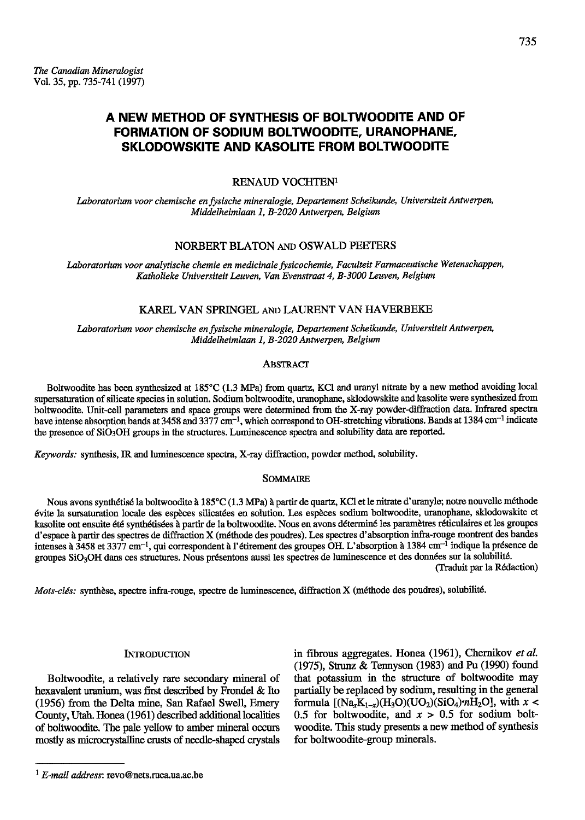# A NEW METHOD OF SYNTHESIS OF BOLTWOODITE AND OF FORMATION OF SODIUM BOLTWOODITE, URANOPHANE, SKLODOWSKITE AND KASOLITE FROM BOLTWOODITE

## RENAUD VOCHTEN<sup>1</sup>

Laboratorium voor chemische en fysische mineralogie, Departement Scheikunde, Universiteit Antwerpen, Middelheimlaan 1, B-2020 Antwerpen, Belgium

### NORBERT BLATON AND OSWALD PEETERS

Laboratorium voor analytische chemie en medicinale fysicochemie, Faculteit Farmaceutische Wetenschappen, Katholieke Universiteit Leuven, Van Evenstraat 4, B-3000 Leuven, Belgium

### KAREL VAN SPRINGEL AND LAURENT VAN HAVERBEKE

Laboratorium voor chemische en fysische mineralogie, Departement Scheikunde, Universiteit Antwerpen, Middelheimlaan 1, B-2020 Antwerpen, Belgium

### **ABSTRACT**

Boltwoodite has been synthesized at 185°C (1.3 MPa) from quartz, KCl and uranyl nitrate by a new method avoiding local supersaturation of silicate species in solution. Sodium boltwoodite, uranophane, sklodowskite and kasolite were synthesized from boltwoodite. Unit-cell parameters and space groups were determined from the X-ray powder-diffraction data. Infrared spectra have intense absorption bands at 3458 and 3377 cm<sup>-1</sup>, which correspond to OH-stretching vibrations. Bands at 1384 cm<sup>-1</sup> indicate the presence of SiO<sub>3</sub>OH groups in the structures. Luminescence spectra and solubility data are reported.

Keywords: synthesis, IR and luminescence spectra, X-ray diffraction, powder method, solubility.

#### **SOMMAIRE**

Nous avons synthétisé la boltwoodite à 185°C (1.3 MPa) à partir de quartz, KCl et le nitrate d'uranyle; notre nouvelle méthode évite la sursaturation locale des espèces silicatées en solution. Les espèces sodium boltwoodite, uranophane, sklodowskite et kasolite ont ensuite été synthétisées à partir de la boltwoodite. Nous en avons déterminé les paramètres réticulaires et les groupes d'espace à partir des spectres de diffraction X (méthode des poudres). Les spectres d'absorption infra-rouge montrent des bandes intenses à 3458 et 3377 cm<sup>-1</sup>, qui correspondent à l'étirement des groupes OH. L'absorption à 1384 cm<sup>-1</sup> indique la présence de groupes SiO<sub>3</sub>OH dans ces structures. Nous présentons aussi les spectres de luminescence et des données sur la solubilité. (Traduit par la Rédaction)

Mots-clés: synthèse, spectre infra-rouge, spectre de luminescence, diffraction X (méthode des poudres), solubilité.

#### **INTRODUCTION**

Boltwoodite, a relatively rare secondary mineral of hexavalent uranium, was first described by Frondel & Ito (1956) from the Delta mine, San Rafael Swell, Emery County, Utah. Honea (1961) described additional localities of boltwoodite. The pale yellow to amber mineral occurs mostly as microcrystalline crusts of needle-shaped crystals in fibrous aggregates. Honea (1961), Chernikov et al. (1975), Strunz & Tennyson (1983) and Pu (1990) found that potassium in the structure of boltwoodite may partially be replaced by sodium, resulting in the general formula  $[(Na_{x}K_{1-x})(H_{3}O)(UO_{2})(SiO_{4})nH_{2}O]$ , with  $x <$ 0.5 for boltwoodite, and  $x > 0.5$  for sodium boltwoodite. This study presents a new method of synthesis for boltwoodite-group minerals.

 $1 E$ -mail address: revo@nets.ruca.ua.ac.be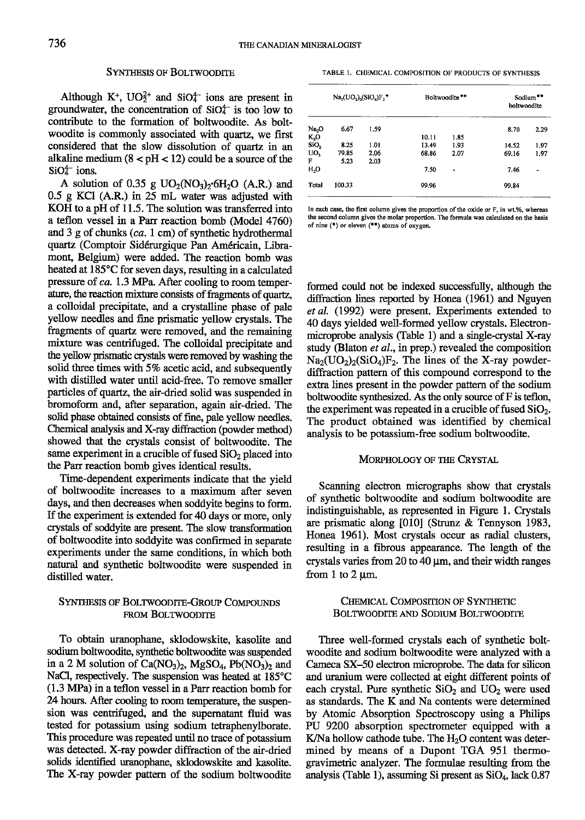### SYNTHESIS OF BOLTWOODITE

Although K<sup>+</sup>,  $UO_2^{2+}$  and SiO<sub>4</sub><sup>-</sup> ions are present in groundwater, the concentration of  $SiO<sup>+</sup>$  is too low to contribute to the formation of boltwoodite. As boltwoodite is commonly associated with quartz, we first considered that the slow dissolution of quartz in an alkaline medium  $(8 < pH < 12)$  could be a source of the  $SiO<sub>4</sub>$  ions.

A solution of 0.35 g  $UO_2(NO_3)_2$  6H<sub>2</sub>O (A.R.) and  $0.5$  g KCl (A.R.) in  $25$  mL water was adjusted with KOH to a pH of 11.5. The solution was tansferred into a teflon vessel in a Parr reaction bomb (Model 4760) and 3 g of chunks (ca. I cm) of synthetic hydrothermal quartz (Comptoir Sid6rurgique Pan Am6ricain, Libramont, Belgium) were added. The reaction bomb was heated at 185°C for seven days, resulting in a calculated pressure of  $ca. 1.3$  MPa. After cooling to room temperature, the reaction mixture consists of fragments of quartz, a colloidal precipitate, and a crystalline phase of pale yellow needles and fine prismatic yellow crystals. The fragments of quartz were removed, and the remaining mixture was centrifuged. The colloidal precipitate and the yellow prismatic crystals were removed by washing the solid three times with 5% acetic acid, and subsequently with distilled water until acid-free. To remove smaller particles of quartz, the air-dried solid was suspended in bromoform and, after separation, again air-dried. The solid phase obtained consists of fine, pale yellow needles. Chemical analysis and X-ray diffraction (powder method) showed that the crystals consist of boltwoodite. The same experiment in a crucible of fused  $SiO<sub>2</sub>$  placed into the Parr reaction bomb gives identical results.

Time-dependent experiments indicate that the yield of boltwoodite increases to a maximum after seven days, and then decreases when soddyite begins to form. If the experiment is extended for 40 days or more, only crystals of soddyite are present. The slow transformation of boltwoodite into soddyite was confirmed in separate experiments under the same conditions, in which both natural and synthetic boltwoodite were suspended in distilled water.

### SYNTHESIS OF BOLTWOODITE-GROUP COMPOUNDS FROM BOLTWOODITE

To obtain uranophane, sklodowskite, kasolite and sodium boltwoodite, synthetic boltrvoodite was suspended in a 2 M solution of  $Ca(NO<sub>3</sub>)<sub>2</sub>$ , MgSO<sub>4</sub>, Pb(NO<sub>3</sub>)<sub>2</sub> and NaCl, respectively. The suspension was heated at 185°C (1.3 MPa) in a teflon vessel in a Parr reaction bomb for 24 hours. After cooling to room temperature, the suspension was centrifuged, and the supernatant fluid was tested for potassium using sodium tefraphenylborate. This procedure was repeated until no trace of potassium was detected. X-ray powder diffraction of the air-dried solids identifled uranophang sklodowskite and kasolite. The X-ray powder pattern of the sodium boltwoodite

TABLE I. CHEMICAL COMPOSITION OF PRODUCTS OF SYNTHESIS

|                           | $Na2(UO2)2(SiO4)F,$ * |      | Boltwoodite <sup>**</sup> |      | Sodium**<br>boltwoodite |      |
|---------------------------|-----------------------|------|---------------------------|------|-------------------------|------|
| $Na2O$<br>$K2O$<br>$SiO2$ | 6.67                  | 1.59 |                           |      | 8.70                    | 2.29 |
|                           |                       |      | 10.11                     | 1.85 |                         |      |
|                           | 8.25                  | 1.01 | 13.49                     | 1.93 | 14.52                   | 1.97 |
| UO,                       | 79.85                 | 2.06 | 68.86                     | 2.07 | 69.16                   | 1.97 |
| F                         | 5.23                  | 2.03 |                           |      |                         |      |
| $H_2O$                    |                       |      | 7.50                      |      | 7.46                    | ٠    |
| Total                     | 100.33                |      | 99.96                     |      | 99.84                   |      |

In each case, the first column gives the proportion of the oxide or F, in wt.%, whereas the second column gives the molar proportion. The formula was calculated on the basis of nine  $(*)$  or eleven  $(**)$  atoms of oxygen.

formed could not be indexed successfully, although the diftaction lines reported by Honea (1961) and Nguyen et al. (1992) were present. Experiments extended to 40 days yielded well-formed yellow crystals. Electronmicroprobe analysis (Table 1) and a single-crystal X-ray study (Blaton *et al.*, in prep.) revealed the composition  $Na_2(UO_2)_2(SiO_4)F_2$ . The lines of the X-ray powderdiffraction pattern of this compound correspond to the extra lines present in the powder pattern of the sodium boltwoodite synthesized. As the only source of  $F$  is teflon, the experiment was repeated in a crucible of fused  $SiO<sub>2</sub>$ . The product obtained was identified by chemical analysis to be potassium-free sodium boltwoodite.

### MORPHOLOGY OF THE CRYSTAL

Scanning electron micrographs show that crystals of synthetic boltwoodite and sodium boltwoodite are indistinguishable, as represented in Figure 1. Crystals are prismatic along [010] (Strunz & Tennyson 1983, Honea 1961). Most crystals occur as radial clusters, resulting in a fibrous appearance. The length of the crystals varies from 20 to 40 um, and their width ranges from 1 to 2  $\mu$ m.

### CHEMICAL COMPOSITION OF SYNTHETIC BOLTWOODITE AND SODIUM BOLTWOODITE

Three well-formed crystals each of synthetic boltwoodite and sodium boltwoodite were analyzed with a Cameca SX-50 electron microprobe. The data for silicon and uranium were collected at eight different points of each crystal. Pure synthetic  $SiO<sub>2</sub>$  and  $UO<sub>2</sub>$  were used as standards. The K and Na contents were determined by Atomic Absorption Spectoscopy using a Philips PU 9200 absorption spectrometer equipped with a K/Na hollow cathode tube. The  $H_2O$  content was determined by means of a Dupont TGA 951 thermogravimetric analyzer. The formulae resulting from the analysis (Table 1), assuming Si present as  $SiO<sub>4</sub>$ , lack 0.87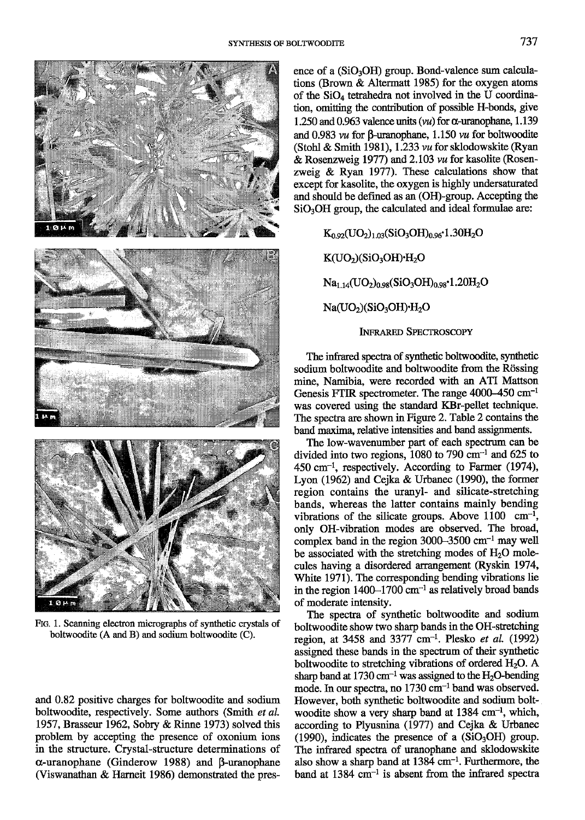

FIG. 1. Scanning electron micrographs of synthetic crystals of boltwoodite (A and B) and sodium boltwoodite (C).

and 0.82 positive charges for boltwoodite and sodium boltwoodite, respectively. Some authors (Smith et al. 1957, Brasseur 1962, Sobry & Rinne 1973) solved this problem by accepting the presence of oxonium ions in the structure. Crystal-structure determinations of  $\alpha$ -uranophane (Ginderow 1988) and  $\beta$ -uranophane (Viswanathan & Harneit 1986) demonstrated the presence of a  $(SiO<sub>3</sub>OH)$  group. Bond-valence sum calculations (Brown  $\&$  Altermatt 1985) for the oxygen atoms of the SiO<sub>4</sub> tetrahedra not involved in the U coordination, omitting the contribution of possible H-bonds, give 1.250 and 0.963 valence units  $(vu)$  for  $\alpha$ -uranophane, 1.139 and 0.983  $vu$  for  $\beta$ -uranophane, 1.150  $vu$  for boltwoodite (Stohl & Smith 1981), 1.233 vu for sklodowskite (Ryan & Rosenzweig 1977) and 2.103 vu for kasolite (Rosenzweig & Ryan 1977). These calculations show that except for kasolite, the oxygen is highly undersaturated and should be defined as an (OH)-group. Accepting the  $SiO<sub>3</sub>OH$  group, the calculated and ideal formulae are:

> $K_{0.92}$ (UO<sub>2</sub>)<sub>1.03</sub>(SiO<sub>3</sub>OH)<sub>0.96</sub>·1.30H<sub>2</sub>O  $K(UO<sub>2</sub>)(SiO<sub>3</sub>OH) $\cdot H<sub>2</sub>O$$  $Na<sub>1.14</sub>(UO<sub>2</sub>)<sub>0.98</sub>(SiO<sub>3</sub>OH)<sub>0.98</sub>·1.20H<sub>2</sub>O$  $Na(UO<sub>2</sub>)(SiO<sub>3</sub>OH)<sup>+</sup>H<sub>2</sub>O$ **INFRARED SPECTROSCOPY**

The infrared spectra of synthetic boltwoodite, synthetic sodium boltwoodite and boltwoodite from the Rössing mine, Namibia, were recorded with an ATI Mattson Genesis FTIR spectrometer. The range  $4000-450$  cm<sup>-1</sup> was covered using the standard KBr-pellet technique. The spectra are shown in Figure 2. Table 2 contains the band maxima, relative intensities and band assignments.

The low-wavenumber part of each spectrum can be divided into two regions,  $1080$  to 790 cm<sup>-1</sup> and 625 to  $450 \text{ cm}^{-1}$ , respectively. According to Farmer (1974), Lyon (1962) and Cejka & Urbanec (1990), the former region contains the uranyl- and silicate-stretching bands, whereas the latter contains mainly bending vibrations of the silicate groups. Above  $1100 \text{ cm}^{-1}$ , only OH-vibration modes are observed. The broad, complex band in the region  $3000-3500$  cm<sup>-1</sup> may well be associated with the stretching modes of H<sub>2</sub>O molecules having a disordered arrangement (Ryskin 1974, White 1971). The corresponding bending vibrations lie in the region  $1400-1700$  cm<sup>-1</sup> as relatively broad bands of moderate intensity.

The spectra of synthetic boltwoodite and sodium boltwoodite show two sharp bands in the OH-stretching region, at 3458 and 3377 cm<sup>-1</sup>. Plesko et al. (1992) assigned these bands in the spectrum of their synthetic boltwoodite to stretching vibrations of ordered H<sub>2</sub>O. A sharp band at 1730 cm<sup>-1</sup> was assigned to the  $H_2O$ -bending mode. In our spectra, no 1730 cm<sup>-1</sup> band was observed. However, both synthetic boltwoodite and sodium boltwoodite show a very sharp band at 1384 cm<sup>-1</sup>, which, according to Plyusnina (1977) and Cejka & Urbanec (1990), indicates the presence of a  $(SiO<sub>3</sub>OH)$  group. The infrared spectra of uranophane and sklodowskite also show a sharp band at 1384 cm<sup>-1</sup>. Furthermore, the band at  $1384 \text{ cm}^{-1}$  is absent from the infrared spectra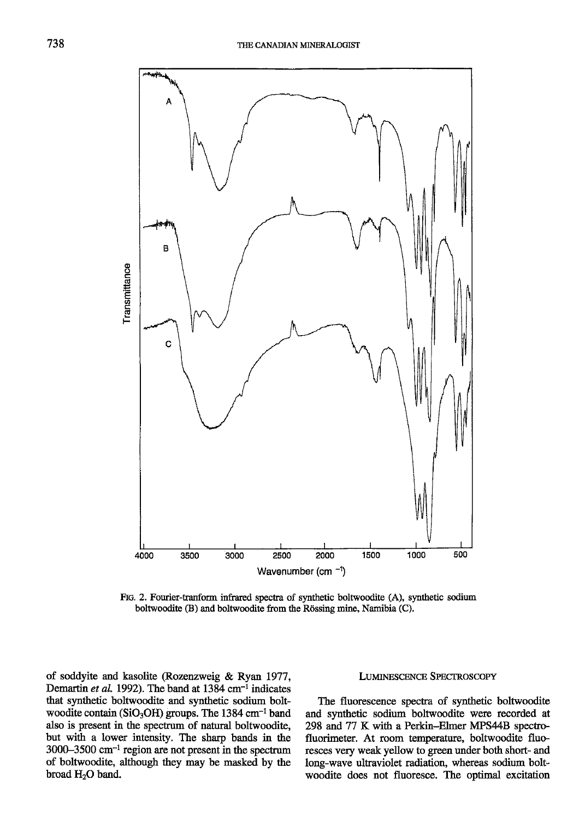

FIG. 2. Fourier-tranform infrared spectra of synthetic boltwoodite (A), synthetic sodium boltwoodite (B) and boltwoodite from the Rössing mine, Namibia (C).

of soddyite and kasolite (Rozenzweig & Ryan 1977, Demartin et al. 1992). The band at  $1384 \text{ cm}^{-1}$  indicates that synthetic boltwoodite and synthetic sodium boltwoodite contain (SiO<sub>3</sub>OH) groups. The 1384 cm<sup>-1</sup> band also is present in the spectrum of nafural boltwoodite, but with a lower intensity. The sharp bands in the  $3000-3500$  cm<sup>-1</sup> region are not present in the spectrum of boltwoodite, although they may be masked by the broad H<sub>2</sub>O band.

### LUMINESCENCE SPECTROSCOPY

The fluorescence specfra of synthetic boltwoodite and synthetic sodium boltwoodite were recorded at 298 and 77 K with a Perkin-Elmer MPS44B specfrofluorimeter. At room temperature, boltwoodite fluoresces very weak yellow to green under both short- and long-wave ultraviolet radiation, whereas sodium boltwoodite does not fluoresce. The optimal excitation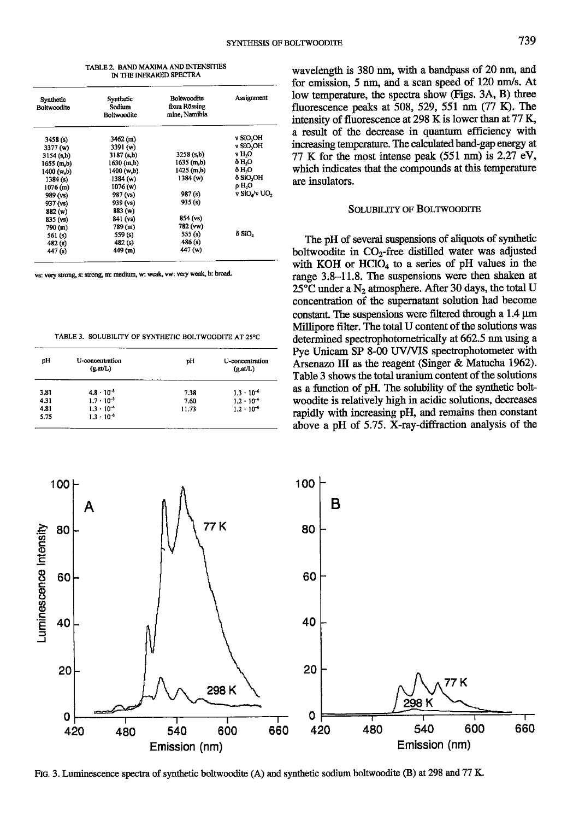| TABLE 2. BAND MAXIMA AND INTENSITIES |
|--------------------------------------|
| IN THE INFRARED SPECTRA              |

| Synthetic<br>Boltwoodite | Synthetic<br>Sodium<br><b>Boltwoodite</b> | Boltwoodite<br>from Rössing<br>mine, Namibia | Assignment            |
|--------------------------|-------------------------------------------|----------------------------------------------|-----------------------|
| 3458(s)                  | 3462 (m)                                  |                                              | v SiO <sub>2</sub> OH |
| 3377 (w)                 | 3391 (w)                                  |                                              | v SiO.OH              |
| 3154 (s.b)               | 3187(s,b)                                 | 3258(s,b)                                    | v H,O                 |
| 1655 (m.b)               | 1630 (m.b)                                | 1635(m,b)                                    | 8 H,O                 |
| 1400 (w.b)               | 1400 (w.b)                                | $1425$ (m,b)                                 | 8 H.O                 |
| 1384(s)                  | 1384 (w)                                  | 1384(w)                                      | δ SiO <sub>2</sub> OH |
| 1076(m)                  | 1076 (w)                                  |                                              | o H,O                 |
| 989 (vs)                 | 987 (vs)                                  | 987(s)                                       | v SiO./v UO,          |
| 937 (vs)                 | 939 (vs)                                  | 935(s)                                       |                       |
| 882 (w)                  | 883 (w)                                   |                                              |                       |
| 835 (vs)                 | 841 (vs)                                  | 854 (vs)                                     |                       |
| 790 (m)                  | 789 (m)                                   | 782 (vw)                                     |                       |
| 561 (s)                  | 559 (s)                                   | 555 (s)                                      | 8 SiO,                |
| 482(s)                   | 482(s)                                    | 486 (s)                                      |                       |
| 447 (s)                  | 449 (m)                                   | 447 (w)                                      |                       |

vs: very strong, s: strong, m: medium, w: weak, vw: very weak, b: broad.

TABLE 3. SOLUBILITY OF SYNTHETIC BOLTWOODITE AT 25°C

| pH   | U-concentration<br>(x.at/L) | рH    | U-concentration<br>(g.at/L) |
|------|-----------------------------|-------|-----------------------------|
| 3.81 | $4.8 \cdot 10^{-3}$         | 7.38  | $1.3 \cdot 10^{-6}$         |
| 4.31 | $1.7 \cdot 10^{-3}$         | 7.60  | $1.2 \cdot 10^{-6}$         |
| 4.81 | $1.3 \cdot 10^{-4}$         | 11.73 | $1.2 \cdot 10^{-6}$         |
| 5.75 | $1.3 \cdot 10^{-6}$         |       |                             |

wavelength is 380 nm, with a bandpass of 20 nm, and for emission, 5 nm, and a scan speed of 120 nm/s. At low temperature, the spectra show (Figs. 3A, B) three fluorescence peaks at 508, 529, 551 nm  $(77 \text{ K})$ . The intensity of fluorescence at  $298$  K is lower than at  $77$  K, a result of the decrease in quantum efficiency with increasing temperature. The calculated band-gap energy at 77 K for the most intense peak  $(551 \text{ nm})$  is 2.27 eV, which indicates that the compounds at this temperature are insulators.

### SOLUBILITY OF BOLTWOODITE

The pH of several suspensions of aliquots of synthetic boltwoodite in  $CO<sub>2</sub>$ -free distilled water was adjusted with KOH or  $HCIO<sub>4</sub>$  to a series of pH values in the range 3.8-11.8. The suspensions were then shaken at  $25^{\circ}$ C under a N<sub>2</sub> atmosphere. After 30 days, the total U concentration of the supernatant solution had become constant. The suspensions were filtered through a  $1.4 \mu m$ Millipore filter. The total U content of the solutions was determined spectrophotometrically at 662.5 nm using a Pye Unicam SP 8-00 UV/US spectrophotometer with Arsenazo III as the reagent (Singer & Matucha 1962). Table 3 shows the total uranium content of the solutions as a function of pH. The solubility of the synthetic boltwoodite is relatively high in acidic solutions, decreases rapidly with increasing pH, and remains then constant above a pH of 5.75. X-ray-diffraction analysis of the



FIG. 3. Luminescence spectra of synthetic boltwoodite (A) and synthetic sodium boltwoodite (B) at 298 and 77 K.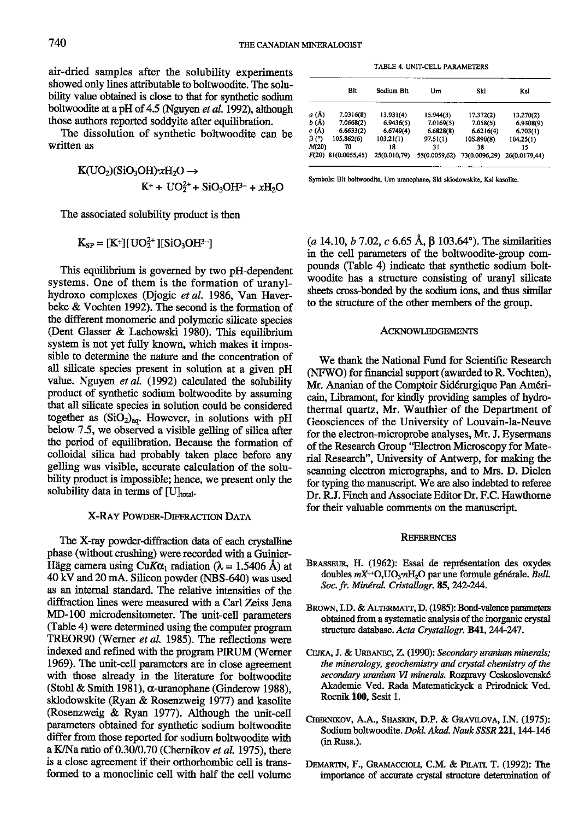air-dried samples after the solubility experiments showed only lines attributable to botwoodite. The solubility value obtained is close to that for synthetic sodium boltwoodite at a pH of 4.5 (Nguyen et al. 1992), although those authors reported soddyite after equilibration.

The dissolution of synthetic boltwoodite can be written as

$$
\begin{aligned} \text{K}(\text{UO}_2)(\text{SiO}_3\text{OH}) \cdot \text{xH}_2\text{O} &\rightarrow \\ \text{K}^+ + \text{UO}_2^{2+} + \text{SiO}_3\text{OH}^{3-} + \text{xH}_2\text{O} \end{aligned}
$$

The associated solubility product is then

$$
K_{SP} = [K^+][UO_2^{2+}][SiO_3OH^{3-}]
$$

This equilibrium is governed by two pH-dependent systems. One of them is the formation of uranylhydroxo complexes (Djogic et al. 1986, Van Haverbeke  $&$  Vochten 1992). The second is the formation of the different monomeric and polymeric silicate species (Dent Glasser & Lachowski 1980). This equilibrium system is not yet fully known, which makes it impossible to determine the nature and the concentration of all silicate species present in solution at a given pH value. Nguyen et al. (1992) calculated the solubility product of synthetic sodium boltwoodite by assuming that all silicate species in solution could be considered together as  $(SiO<sub>2</sub>)<sub>aq</sub>$ . However, in solutions with pH below 7.5, we observed a visible gelling of silica after the period of equilibration. Because the formation of colloidal silica had probably taken place before any gelling was visible, accurate calculation of the solubility product is impossible; hence, we present only the solubility data in terms of  $[U]_{total}$ .

### X-RAY POWDER-DIFFRACTION DATA

The X-ray powder-diffraction data of each crystalline phase (without crushing) were recorded with a Guinier-Hägg camera using CuK $\alpha_1$  radiation ( $\lambda = 1.5406$  Å) at 40 kV and 20 mA. Silicon powder (NBS-640) was used as an internal standard. The relative intensities of the diffraction lines were measured with a Carl Zeiss Jena MD-100 microdensitometer. The unit-cell parameters (Table 4) were determined using the computer program TREOR90 (Werner et al. 1985). The reflections were indexed and refined with the program PIRUM (Werner 1969). The unit-cell parameters are in close agreement with those already in the literature for boltwoodite (Stohl & Smith 1981),  $\alpha$ -uranophane (Ginderow 1988), sklodowskite (Ryan & Rosenzweig 1977) and kasolite (Rosenzweig & Ryan 1977). Although the unit-cell paxameters obtained for synthetic sodium boltwoodite differ from those reported for sodium boltwoodite with a K/Na ratio of  $0.30/0.70$  (Chernikov et al. 1975), there is a close agreement if their orthorhombic cell is transformed to a monoclinic cell with half the cell volume

TABLE 4. UNIT-CELL PARAMETERS

|             | Bit           | Sodium Blt   | Um            | Skl           | Ksl           |
|-------------|---------------|--------------|---------------|---------------|---------------|
| a (Å)       | 7.0316(8)     | 13.931(4)    | 15.944(3)     | 17.372(2)     | 13.270(2)     |
| b (Å)       | 7.0668(2)     | 6.9436(5)    | 7.0169(5)     | 7.058(5)      | 6.9308(9)     |
| c (Å)       | 6.6633(2)     | 6.6749(4)    | 6.6828(8)     | 6,6216(4)     | 6.703(1)      |
| $\beta$ (°) | 105.862(6)    | 103.21(1)    | 97.51(1)      | 105.890(8)    | 104.25(1)     |
| M(20)       | 70            | 18           | 31            | 38            | 15            |
| F(20)       | 81(0.0055,45) | 25(0.010,79) | 55(0.0059,62) | 73(0.0096.29) | 26(0.0179.44) |

Symbols: Bit boltwoodite, Urn uranophane, Skl sklodowskite, Ksl kasolite.

(a 14.10, b 7.02, c 6.65 Å,  $\beta$  103.64°). The similarities in the cell parameters of the boltwoodite-gtoup compounds (Table 4) indicate that synthetic sodium boltwoodite has a structure consisting of uranyl silicate sheets cross-bonded by the sodium ions, and thus similar to the structure of the other members of the group.

#### ACKNOWLEDGEMENTS

We thank the National Fund for Scientific Research (NFWO) for financial support (awarded to R. Vochten), Mr. Ananian of the Comptoir Sidérurgique Pan Américain, Libramont, for kindly providing samples of hydrothermal quartz, Mr. Wauthier of the Department of Geosciences of the University of Louvain-la-Neuve for the electon-microprobe analyses, Mr. J. Eysermans of the Research Group 'Electron Microscopy for Material Research", University of Antwerp, for making the scanning electron micrographs, and to Mrs. D. Dielen for typing the manuscript. We are also indebted to referee Dr. R.J. Finch and Associate Editor Dr. F.C. Hawthorne for their valuable comments on the manuscript.

### **REFERENCES**

- BRASSEUR, H. (1962): Essai de représentation des oxydes doubles  $mX^{++}O, UO_3mH_2O$  par une formule générale. Bull. Soc. fr. Minéral. Cristallogr. 85, 242-244.
- BROWN, I.D. & ALTERMATT, D. (1985): Bond-valence parameters obtained from a systematic analysis of the inorganic crystal structure database. Acta Crystallogr. B41, 244-247.
- CEJKA, J. & URBANEC, Z. (1990): Secondary uranium minerals; the mineralogy, geochemistry and crystal chemistry of the secondary uranium VI minerals. Rozpravy Ceskoslovenské Akademie Ved. Rada Matematickyck a Prirodnick Ved. Rocnik 100, Sesit 1.
- CHERNIKOV, A.A., SHASKIN, D.P. & GRAVILOVA, I.N. (1975): Sodium boltwoodite. Dokl. Akad. Nauk SSSR 221, 144-146 (in Russ.).
- DEMARTIN, F., GRAMACCIOLI, C.M. & PILATI, T. (1992): The importance of accurate crystal structure determination of